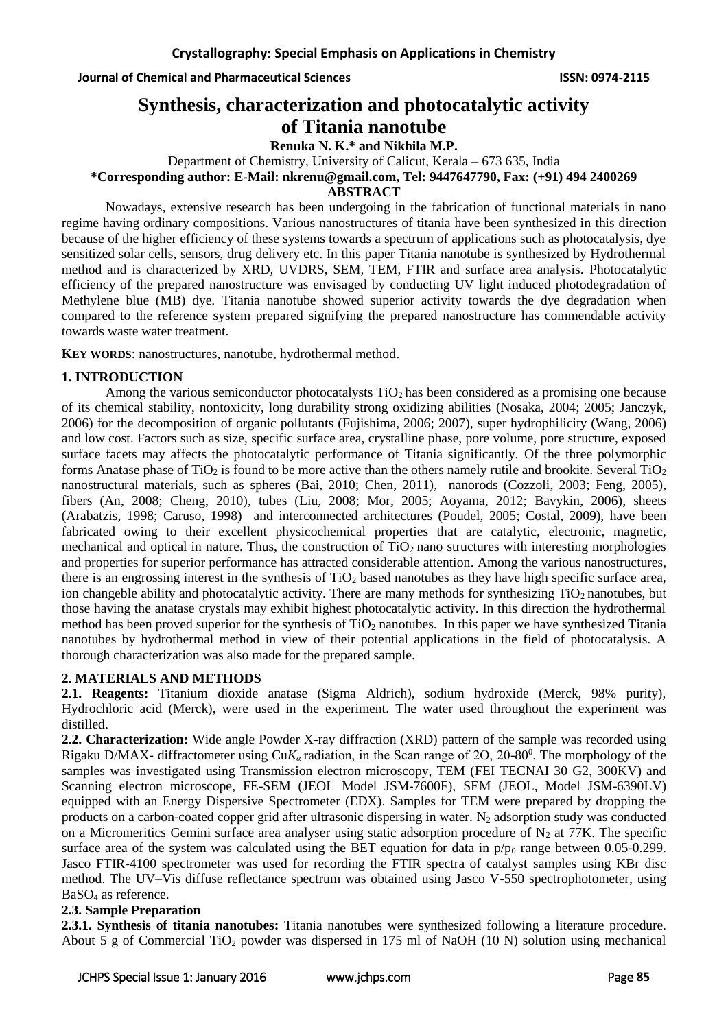**Journal of Chemical and Pharmaceutical Sciences ISSN: 0974-2115**

# **Synthesis, characterization and photocatalytic activity of Titania nanotube**

**Renuka N. K.\* and Nikhila M.P.**

Department of Chemistry, University of Calicut, Kerala – 673 635, India

**\*Corresponding author: E-Mail: [nkrenu@gmail.com,](mailto:nkrenu@gmail.com) Tel: 9447647790, Fax: (+91) 494 2400269**

**ABSTRACT**

Nowadays, extensive research has been undergoing in the fabrication of functional materials in nano regime having ordinary compositions. Various nanostructures of titania have been synthesized in this direction because of the higher efficiency of these systems towards a spectrum of applications such as photocatalysis, dye sensitized solar cells, sensors, drug delivery etc. In this paper Titania nanotube is synthesized by Hydrothermal method and is characterized by XRD, UVDRS, SEM, TEM, FTIR and surface area analysis. Photocatalytic efficiency of the prepared nanostructure was envisaged by conducting UV light induced photodegradation of Methylene blue (MB) dye. Titania nanotube showed superior activity towards the dye degradation when compared to the reference system prepared signifying the prepared nanostructure has commendable activity towards waste water treatment.

**KEY WORDS**: nanostructures, nanotube, hydrothermal method.

# **1. INTRODUCTION**

Among the various semiconductor photocatalysts  $TiO<sub>2</sub>$  has been considered as a promising one because of its chemical stability, nontoxicity, long durability strong oxidizing abilities (Nosaka, 2004; 2005; Janczyk, 2006) for the decomposition of organic pollutants (Fujishima, 2006; 2007), super hydrophilicity (Wang, 2006) and low cost. Factors such as size, specific surface area, crystalline phase, pore volume, pore structure, exposed surface facets may affects the photocatalytic performance of Titania significantly. Of the three polymorphic forms Anatase phase of  $TiO<sub>2</sub>$  is found to be more active than the others namely rutile and brookite. Several  $TiO<sub>2</sub>$ nanostructural materials, such as spheres (Bai, 2010; Chen, 2011), nanorods (Cozzoli, 2003; Feng, 2005), fibers (An, 2008; Cheng, 2010), tubes (Liu, 2008; Mor, 2005; Aoyama, 2012; Bavykin, 2006), sheets (Arabatzis, 1998; Caruso, 1998) and interconnected architectures (Poudel, 2005; Costal, 2009), have been fabricated owing to their excellent physicochemical properties that are catalytic, electronic, magnetic, mechanical and optical in nature. Thus, the construction of TiO<sub>2</sub> nano structures with interesting morphologies and properties for superior performance has attracted considerable attention. Among the various nanostructures, there is an engrossing interest in the synthesis of  $TiO<sub>2</sub>$  based nanotubes as they have high specific surface area, ion changeble ability and photocatalytic activity. There are many methods for synthesizing  $TiO<sub>2</sub>$  nanotubes, but those having the anatase crystals may exhibit highest photocatalytic activity. In this direction the hydrothermal method has been proved superior for the synthesis of  $TiO<sub>2</sub>$  nanotubes. In this paper we have synthesized Titania nanotubes by hydrothermal method in view of their potential applications in the field of photocatalysis. A thorough characterization was also made for the prepared sample.

# **2. MATERIALS AND METHODS**

**2.1. Reagents:** Titanium dioxide anatase (Sigma Aldrich), sodium hydroxide (Merck, 98% purity), Hydrochloric acid (Merck), were used in the experiment. The water used throughout the experiment was distilled.

**2.2. Characterization:** Wide angle Powder X-ray diffraction (XRD) pattern of the sample was recorded using Rigaku D/MAX- diffractometer using CuK<sub>α</sub> radiation, in the Scan range of 2<del>O</del>, 20-80<sup>0</sup>. The morphology of the samples was investigated using Transmission electron microscopy, TEM (FEI TECNAI 30 G2, 300KV) and Scanning electron microscope, FE-SEM (JEOL Model JSM-7600F), SEM (JEOL, Model JSM-6390LV) equipped with an Energy Dispersive Spectrometer (EDX). Samples for TEM were prepared by dropping the products on a carbon-coated copper grid after ultrasonic dispersing in water.  $N_2$  adsorption study was conducted on a Micromeritics Gemini surface area analyser using static adsorption procedure of  $N_2$  at 77K. The specific surface area of the system was calculated using the BET equation for data in  $p/p_0$  range between 0.05-0.299. Jasco FTIR-4100 spectrometer was used for recording the FTIR spectra of catalyst samples using KBr disc method. The UV–Vis diffuse reflectance spectrum was obtained using Jasco V-550 spectrophotometer, using BaSO<sup>4</sup> as reference.

# **2.3. Sample Preparation**

**2.3.1. Synthesis of titania nanotubes:** Titania nanotubes were synthesized following a literature procedure. About 5 g of Commercial TiO<sub>2</sub> powder was dispersed in 175 ml of NaOH (10 N) solution using mechanical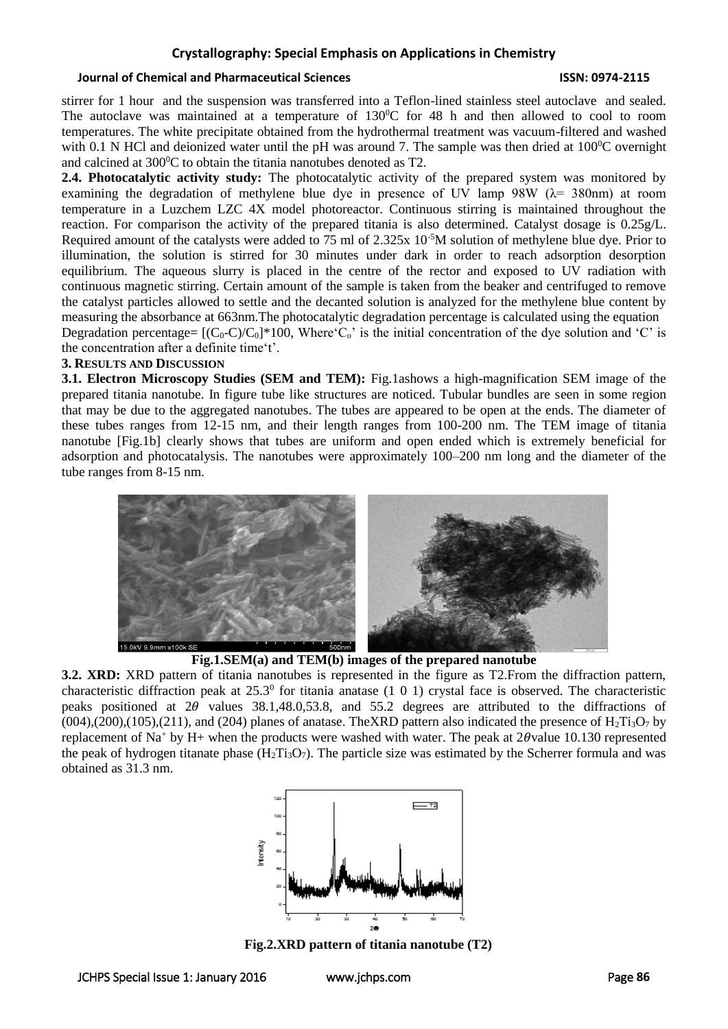#### **Journal of Chemical and Pharmaceutical Sciences ISSN: 0974-2115**

stirrer for 1 hour and the suspension was transferred into a Teflon-lined stainless steel autoclave and sealed. The autoclave was maintained at a temperature of  $130^{\circ}$ C for 48 h and then allowed to cool to room temperatures. The white precipitate obtained from the hydrothermal treatment was vacuum-filtered and washed with 0.1 N HCl and deionized water until the pH was around 7. The sample was then dried at  $100^{\circ}$ C overnight and calcined at  $300^{\circ}$ C to obtain the titania nanotubes denoted as T2.

**2.4. Photocatalytic activity study:** The photocatalytic activity of the prepared system was monitored by examining the degradation of methylene blue dye in presence of UV lamp 98W ( $\lambda$  = 380nm) at room temperature in a Luzchem LZC 4X model photoreactor. Continuous stirring is maintained throughout the reaction. For comparison the activity of the prepared titania is also determined. Catalyst dosage is 0.25g/L. Required amount of the catalysts were added to 75 ml of 2.325x 10-5M solution of methylene blue dye. Prior to illumination, the solution is stirred for 30 minutes under dark in order to reach adsorption desorption equilibrium. The aqueous slurry is placed in the centre of the rector and exposed to UV radiation with continuous magnetic stirring. Certain amount of the sample is taken from the beaker and centrifuged to remove the catalyst particles allowed to settle and the decanted solution is analyzed for the methylene blue content by measuring the absorbance at 663nm.The photocatalytic degradation percentage is calculated using the equation Degradation percentage=  $[(C_0-C)/C_0]^*100$ , Where'C<sub>o</sub>' is the initial concentration of the dye solution and 'C' is the concentration after a definite time't'.

#### **3. RESULTS AND DISCUSSION**

**3.1. Electron Microscopy Studies (SEM and TEM):** Fig.1ashows a high-magnification SEM image of the prepared titania nanotube. In figure tube like structures are noticed. Tubular bundles are seen in some region that may be due to the aggregated nanotubes. The tubes are appeared to be open at the ends. The diameter of these tubes ranges from 12-15 nm, and their length ranges from 100-200 nm. The TEM image of titania nanotube [Fig.1b] clearly shows that tubes are uniform and open ended which is extremely beneficial for adsorption and photocatalysis. The nanotubes were approximately 100–200 nm long and the diameter of the tube ranges from 8-15 nm.



**Fig.1.SEM(a) and TEM(b) images of the prepared nanotube**

**3.2. XRD:** XRD pattern of titania nanotubes is represented in the figure as T2.From the diffraction pattern, characteristic diffraction peak at  $25.3^{\circ}$  for titania anatase (1 0 1) crystal face is observed. The characteristic peaks positioned at  $2\theta$  values 38.1,48.0,53.8, and 55.2 degrees are attributed to the diffractions of  $(004)$ , $(200)$ , $(105)$ , $(211)$ , and  $(204)$  planes of anatase. TheXRD pattern also indicated the presence of H<sub>2</sub>Ti<sub>3</sub>O<sub>7</sub> by replacement of Na<sup>+</sup> by H+ when the products were washed with water. The peak at  $2\theta$ value 10.130 represented the peak of hydrogen titanate phase  $(H_2Ti_3O_7)$ . The particle size was estimated by the Scherrer formula and was obtained as 31.3 nm.



**Fig.2.XRD pattern of titania nanotube (T2)**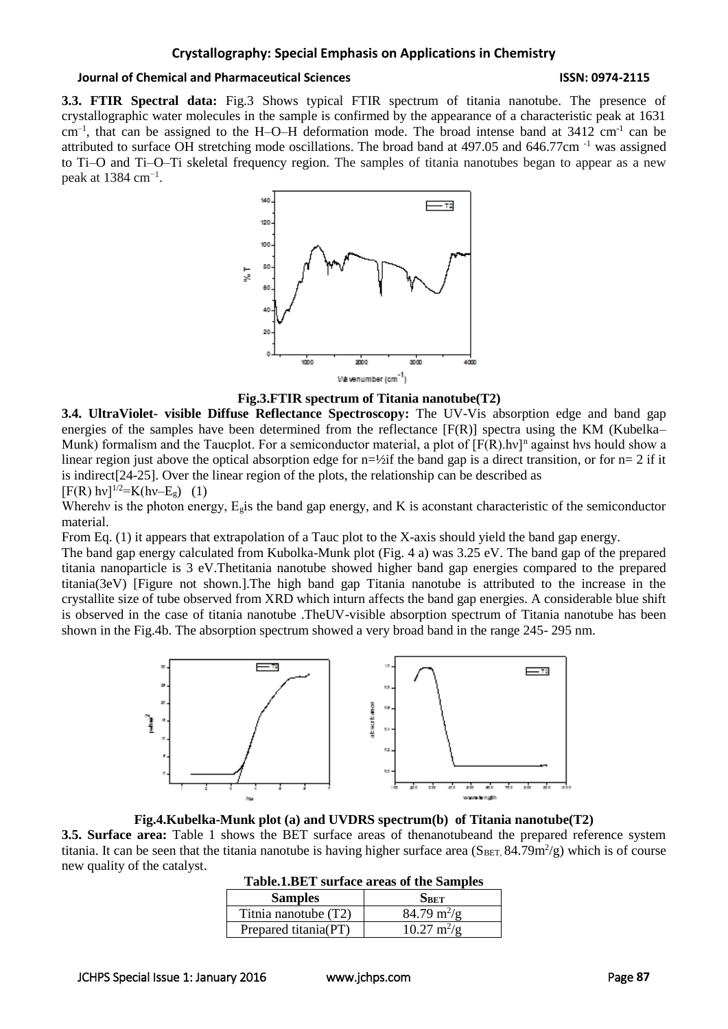### **Journal of Chemical and Pharmaceutical Sciences ISSN: 0974-2115**

**3.3. FTIR Spectral data:** Fig.3 Shows typical FTIR spectrum of titania nanotube. The presence of crystallographic water molecules in the sample is confirmed by the appearance of a characteristic peak at 1631 cm<sup>-1</sup>, that can be assigned to the H-O-H deformation mode. The broad intense band at 3412 cm<sup>-1</sup> can be attributed to surface OH stretching mode oscillations. The broad band at 497.05 and 646.77cm -1 was assigned to Ti–O and Ti–O–Ti skeletal frequency region. The samples of titania nanotubes began to appear as a new peak at 1384 cm<sup>-1</sup>.



**Fig.3.FTIR spectrum of Titania nanotube(T2)**

**3.4. UltraViolet- visible Diffuse Reflectance Spectroscopy:** The UV-Vis absorption edge and band gap energies of the samples have been determined from the reflectance  $[F(R)]$  spectra using the KM (Kubelka– Munk) formalism and the Taucplot. For a semiconductor material, a plot of  $[F(R) \cdot hv]^n$  against hvs hould show a linear region just above the optical absorption edge for  $n=2$  if the band gap is a direct transition, or for  $n=2$  if it is indirect[24-25]. Over the linear region of the plots, the relationship can be described as  $[F(R) hv]^{1/2} = K(hv-E<sub>g</sub>)$  (1)

Wherehv is the photon energy,  $E_g$  is the band gap energy, and K is aconstant characteristic of the semiconductor material.

From Eq. (1) it appears that extrapolation of a Tauc plot to the X-axis should yield the band gap energy.

The band gap energy calculated from Kubolka-Munk plot (Fig. 4 a) was 3.25 eV. The band gap of the prepared titania nanoparticle is 3 eV.Thetitania nanotube showed higher band gap energies compared to the prepared titania(3eV) [Figure not shown.].The high band gap Titania nanotube is attributed to the increase in the crystallite size of tube observed from XRD which inturn affects the band gap energies. A considerable blue shift is observed in the case of titania nanotube .TheUV-visible absorption spectrum of Titania nanotube has been shown in the Fig.4b. The absorption spectrum showed a very broad band in the range 245- 295 nm.



**Fig.4.Kubelka-Munk plot (a) and UVDRS spectrum(b) of Titania nanotube(T2)**

**3.5. Surface area:** Table 1 shows the BET surface areas of thenanotubeand the prepared reference system titania. It can be seen that the titania nanotube is having higher surface area  $(S_{BET}, 84.79m^2/g)$  which is of course new quality of the catalyst.

| <b>Samples</b>       | SBET                         |
|----------------------|------------------------------|
| Titnia nanotube (T2) | $84.79 \text{ m}^2/\text{g}$ |
| Prepared titania(PT) | $10.27 \text{ m}^2/\text{g}$ |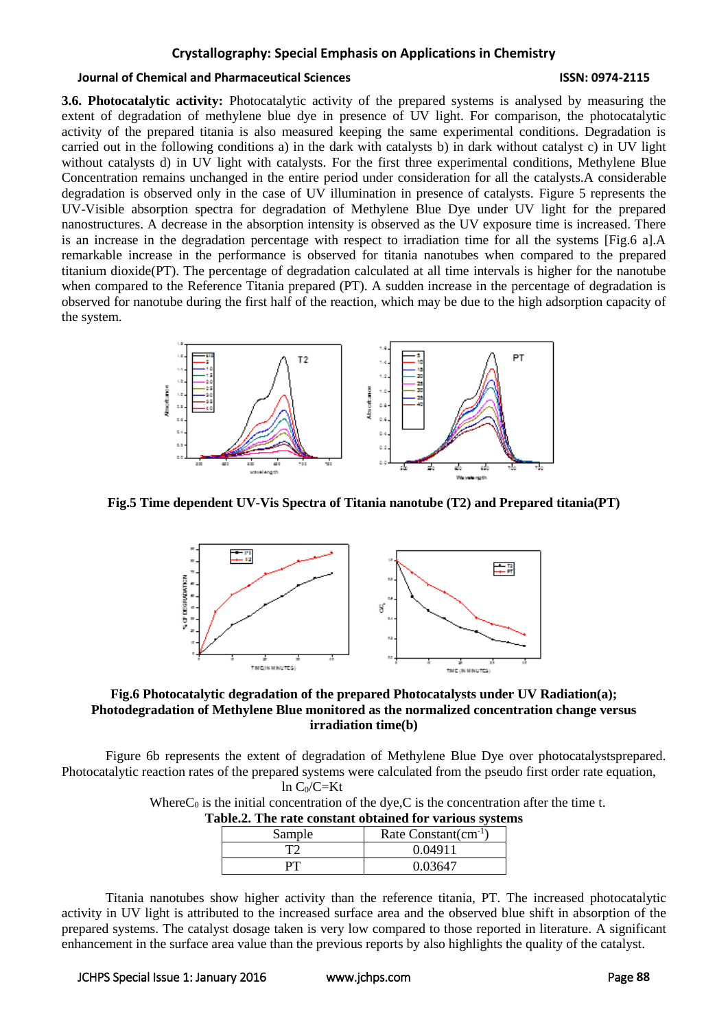#### **Journal of Chemical and Pharmaceutical Sciences ISSN: 0974-2115**

**3.6. Photocatalytic activity:** Photocatalytic activity of the prepared systems is analysed by measuring the extent of degradation of methylene blue dye in presence of UV light. For comparison, the photocatalytic activity of the prepared titania is also measured keeping the same experimental conditions. Degradation is carried out in the following conditions a) in the dark with catalysts b) in dark without catalyst c) in UV light without catalysts d) in UV light with catalysts. For the first three experimental conditions, Methylene Blue Concentration remains unchanged in the entire period under consideration for all the catalysts.A considerable degradation is observed only in the case of UV illumination in presence of catalysts. Figure 5 represents the UV-Visible absorption spectra for degradation of Methylene Blue Dye under UV light for the prepared nanostructures. A decrease in the absorption intensity is observed as the UV exposure time is increased. There is an increase in the degradation percentage with respect to irradiation time for all the systems [Fig.6 a].A remarkable increase in the performance is observed for titania nanotubes when compared to the prepared titanium dioxide(PT). The percentage of degradation calculated at all time intervals is higher for the nanotube when compared to the Reference Titania prepared (PT). A sudden increase in the percentage of degradation is observed for nanotube during the first half of the reaction, which may be due to the high adsorption capacity of the system.



**Fig.5 Time dependent UV-Vis Spectra of Titania nanotube (T2) and Prepared titania(PT)**



### **Fig.6 Photocatalytic degradation of the prepared Photocatalysts under UV Radiation(a); Photodegradation of Methylene Blue monitored as the normalized concentration change versus irradiation time(b)**

Figure 6b represents the extent of degradation of Methylene Blue Dye over photocatalystsprepared. Photocatalytic reaction rates of the prepared systems were calculated from the pseudo first order rate equation,

 $ln C_0/C=Kt$ 

Where  $C_0$  is the initial concentration of the dye, C is the concentration after the time t. **Table.2. The rate constant obtained for various systems**

| ubic.2. The fail constant obtained for various system |                           |
|-------------------------------------------------------|---------------------------|
| Sample                                                | Rate Constant $(cm^{-1})$ |
|                                                       | 0.04911                   |
|                                                       | 0.03647                   |

Titania nanotubes show higher activity than the reference titania, PT. The increased photocatalytic activity in UV light is attributed to the increased surface area and the observed blue shift in absorption of the prepared systems. The catalyst dosage taken is very low compared to those reported in literature. A significant enhancement in the surface area value than the previous reports by also highlights the quality of the catalyst.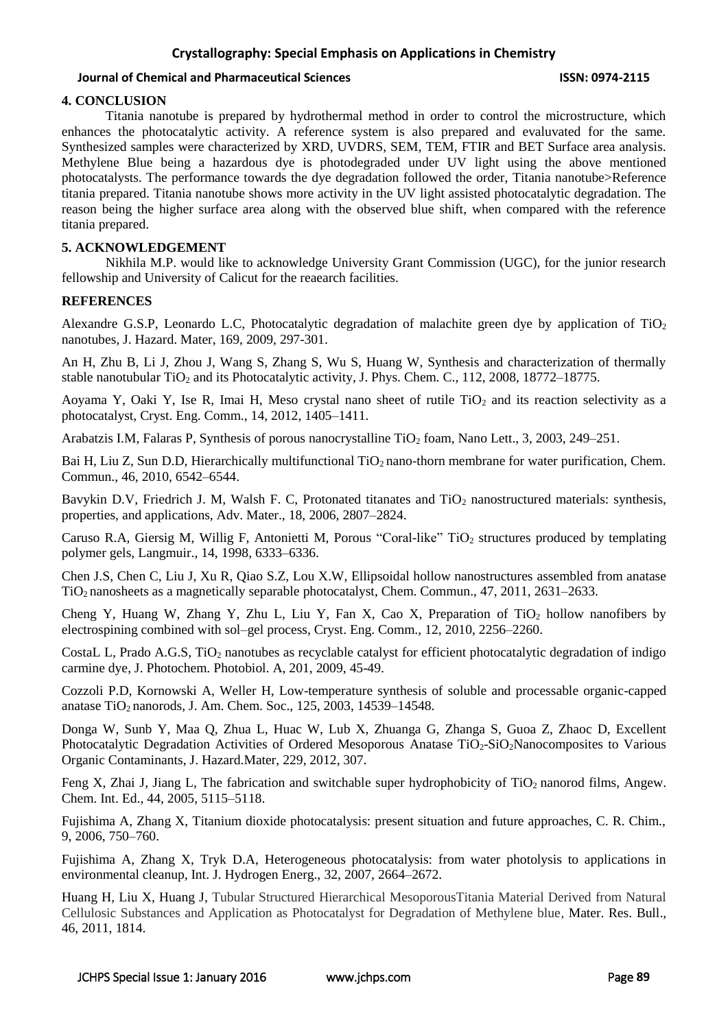### **Journal of Chemical and Pharmaceutical Sciences ISSN: 0974-2115**

### **4. CONCLUSION**

Titania nanotube is prepared by hydrothermal method in order to control the microstructure, which enhances the photocatalytic activity. A reference system is also prepared and evaluvated for the same. Synthesized samples were characterized by XRD, UVDRS, SEM, TEM, FTIR and BET Surface area analysis. Methylene Blue being a hazardous dye is photodegraded under UV light using the above mentioned photocatalysts. The performance towards the dye degradation followed the order, Titania nanotube>Reference titania prepared. Titania nanotube shows more activity in the UV light assisted photocatalytic degradation. The reason being the higher surface area along with the observed blue shift, when compared with the reference titania prepared.

### **5. ACKNOWLEDGEMENT**

Nikhila M.P. would like to acknowledge University Grant Commission (UGC), for the junior research fellowship and University of Calicut for the reaearch facilities.

#### **REFERENCES**

Alexandre G.S.P, Leonardo L.C, Photocatalytic degradation of malachite green dye by application of TiO<sup>2</sup> nanotubes, J. Hazard. Mater, 169, 2009, 297-301.

An H, Zhu B, Li J, Zhou J, Wang S, Zhang S, Wu S, Huang W, Synthesis and characterization of thermally stable nanotubular  $TiO<sub>2</sub>$  and its Photocatalytic activity, J. Phys. Chem. C., 112, 2008, 18772–18775.

Aoyama Y, Oaki Y, Ise R, Imai H, Meso crystal nano sheet of rutile  $TiO<sub>2</sub>$  and its reaction selectivity as a photocatalyst, Cryst. Eng. Comm., 14, 2012, 1405–1411.

Arabatzis I.M, Falaras P, Synthesis of porous nanocrystalline TiO<sub>2</sub> foam, Nano Lett., 3, 2003, 249–251.

Bai H, Liu Z, Sun D.D, Hierarchically multifunctional TiO<sub>2</sub> nano-thorn membrane for water purification, Chem. Commun., 46, 2010, 6542–6544.

Bavykin D.V, Friedrich J. M, Walsh F. C, Protonated titanates and TiO<sub>2</sub> nanostructured materials: synthesis, properties, and applications, Adv. Mater., 18, 2006, 2807–2824.

Caruso R.A, Giersig M, Willig F, Antonietti M, Porous "Coral-like"  $TiO<sub>2</sub>$  structures produced by templating polymer gels, Langmuir., 14, 1998, 6333–6336.

Chen J.S, Chen C, Liu J, Xu R, Qiao S.Z, Lou X.W, Ellipsoidal hollow nanostructures assembled from anatase TiO<sup>2</sup> nanosheets as a magnetically separable photocatalyst, Chem. Commun., 47, 2011, 2631–2633.

Cheng Y, Huang W, Zhang Y, Zhu L, Liu Y, Fan X, Cao X, Preparation of  $TiO<sub>2</sub>$  hollow nanofibers by electrospining combined with sol–gel process, Cryst. Eng. Comm., 12, 2010, 2256–2260.

CostaL L, Prado A.G.S, TiO<sub>2</sub> nanotubes as recyclable catalyst for efficient photocatalytic degradation of indigo carmine dye, J. Photochem. Photobiol. A, 201, 2009, 45-49.

Cozzoli P.D, Kornowski A, Weller H, Low-temperature synthesis of soluble and processable organic-capped anatase TiO<sub>2</sub> nanorods, J. Am. Chem. Soc., 125, 2003, 14539–14548.

Donga W, Sunb Y, Maa Q, Zhua L, Huac W, Lub X, Zhuanga G, Zhanga S, Guoa Z, Zhaoc D, Excellent Photocatalytic Degradation Activities of Ordered Mesoporous Anatase TiO<sub>2</sub>-SiO<sub>2</sub>Nanocomposites to Various Organic Contaminants, J. Hazard.Mater, 229, 2012, 307.

Feng X, Zhai J, Jiang L, The fabrication and switchable super hydrophobicity of TiO<sub>2</sub> nanorod films, Angew. Chem. Int. Ed., 44, 2005, 5115–5118.

Fujishima A, Zhang X, Titanium dioxide photocatalysis: present situation and future approaches, C. R. Chim., 9, 2006, 750–760.

Fujishima A, Zhang X, Tryk D.A, Heterogeneous photocatalysis: from water photolysis to applications in environmental cleanup, Int. J. Hydrogen Energ., 32, 2007, 2664–2672.

Huang H, Liu X, Huang J, Tubular Structured Hierarchical MesoporousTitania Material Derived from Natural Cellulosic Substances and Application as Photocatalyst for Degradation of Methylene blue, Mater. Res. Bull., 46, 2011, 1814.